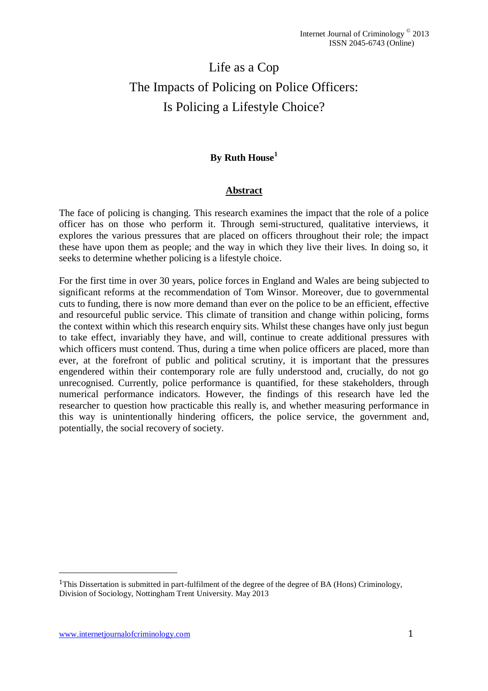# Life as a Cop The Impacts of Policing on Police Officers: Is Policing a Lifestyle Choice?

# **By Ruth House<sup>1</sup>**

## **Abstract**

The face of policing is changing. This research examines the impact that the role of a police officer has on those who perform it. Through semi-structured, qualitative interviews, it explores the various pressures that are placed on officers throughout their role; the impact these have upon them as people; and the way in which they live their lives. In doing so, it seeks to determine whether policing is a lifestyle choice.

For the first time in over 30 years, police forces in England and Wales are being subjected to significant reforms at the recommendation of Tom Winsor. Moreover, due to governmental cuts to funding, there is now more demand than ever on the police to be an efficient, effective and resourceful public service. This climate of transition and change within policing, forms the context within which this research enquiry sits. Whilst these changes have only just begun to take effect, invariably they have, and will, continue to create additional pressures with which officers must contend. Thus, during a time when police officers are placed, more than ever, at the forefront of public and political scrutiny, it is important that the pressures engendered within their contemporary role are fully understood and, crucially, do not go unrecognised. Currently, police performance is quantified, for these stakeholders, through numerical performance indicators. However, the findings of this research have led the researcher to question how practicable this really is, and whether measuring performance in this way is unintentionally hindering officers, the police service, the government and, potentially, the social recovery of society.

l

<sup>1</sup>This Dissertation is submitted in part-fulfilment of the degree of the degree of BA (Hons) Criminology, Division of Sociology, Nottingham Trent University. May 2013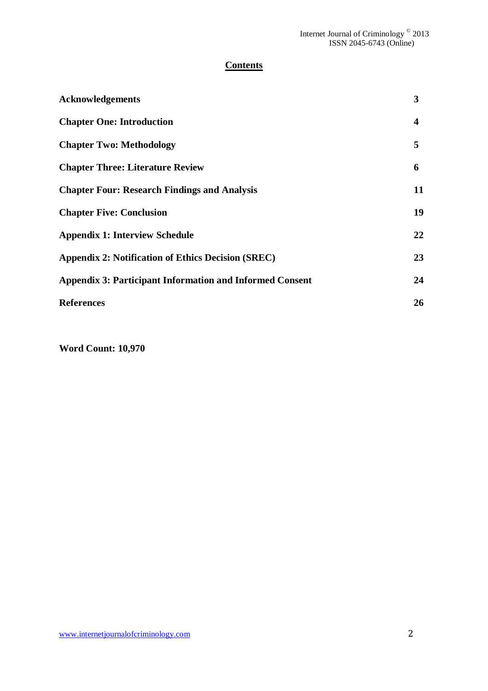# **Contents**

| <b>Acknowledgements</b>                                         | 3                       |
|-----------------------------------------------------------------|-------------------------|
| <b>Chapter One: Introduction</b>                                | $\overline{\mathbf{4}}$ |
| <b>Chapter Two: Methodology</b>                                 | 5                       |
| <b>Chapter Three: Literature Review</b>                         | 6                       |
| <b>Chapter Four: Research Findings and Analysis</b>             | 11                      |
| <b>Chapter Five: Conclusion</b>                                 | 19                      |
| <b>Appendix 1: Interview Schedule</b>                           | 22                      |
| <b>Appendix 2: Notification of Ethics Decision (SREC)</b>       | 23                      |
| <b>Appendix 3: Participant Information and Informed Consent</b> | 24                      |
| <b>References</b>                                               | 26                      |

**Word Count: 10,970**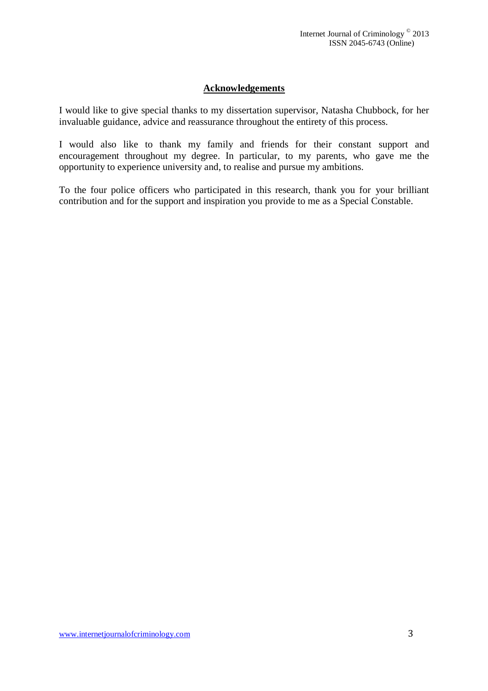# **Acknowledgements**

I would like to give special thanks to my dissertation supervisor, Natasha Chubbock, for her invaluable guidance, advice and reassurance throughout the entirety of this process.

I would also like to thank my family and friends for their constant support and encouragement throughout my degree. In particular, to my parents, who gave me the opportunity to experience university and, to realise and pursue my ambitions.

To the four police officers who participated in this research, thank you for your brilliant contribution and for the support and inspiration you provide to me as a Special Constable.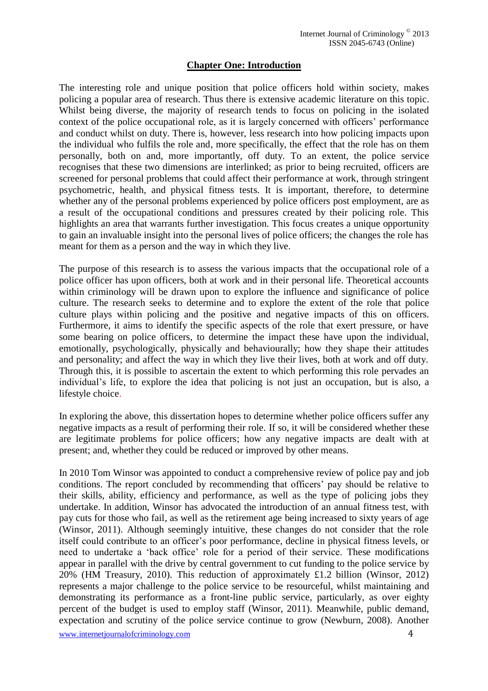# **Chapter One: Introduction**

The interesting role and unique position that police officers hold within society, makes policing a popular area of research. Thus there is extensive academic literature on this topic. Whilst being diverse, the majority of research tends to focus on policing in the isolated context of the police occupational role, as it is largely concerned with officers' performance and conduct whilst on duty. There is, however, less research into how policing impacts upon the individual who fulfils the role and, more specifically, the effect that the role has on them personally, both on and, more importantly, off duty. To an extent, the police service recognises that these two dimensions are interlinked; as prior to being recruited, officers are screened for personal problems that could affect their performance at work, through stringent psychometric, health, and physical fitness tests. It is important, therefore, to determine whether any of the personal problems experienced by police officers post employment, are as a result of the occupational conditions and pressures created by their policing role. This highlights an area that warrants further investigation. This focus creates a unique opportunity to gain an invaluable insight into the personal lives of police officers; the changes the role has meant for them as a person and the way in which they live.

The purpose of this research is to assess the various impacts that the occupational role of a police officer has upon officers, both at work and in their personal life. Theoretical accounts within criminology will be drawn upon to explore the influence and significance of police culture. The research seeks to determine and to explore the extent of the role that police culture plays within policing and the positive and negative impacts of this on officers. Furthermore, it aims to identify the specific aspects of the role that exert pressure, or have some bearing on police officers, to determine the impact these have upon the individual, emotionally, psychologically, physically and behaviourally; how they shape their attitudes and personality; and affect the way in which they live their lives, both at work and off duty. Through this, it is possible to ascertain the extent to which performing this role pervades an individual's life, to explore the idea that policing is not just an occupation, but is also, a lifestyle choice.

In exploring the above, this dissertation hopes to determine whether police officers suffer any negative impacts as a result of performing their role. If so, it will be considered whether these are legitimate problems for police officers; how any negative impacts are dealt with at present; and, whether they could be reduced or improved by other means.

In 2010 Tom Winsor was appointed to conduct a comprehensive review of police pay and job conditions. The report concluded by recommending that officers' pay should be relative to their skills, ability, efficiency and performance, as well as the type of policing jobs they undertake. In addition, Winsor has advocated the introduction of an annual fitness test, with pay cuts for those who fail, as well as the retirement age being increased to sixty years of age (Winsor, 2011). Although seemingly intuitive, these changes do not consider that the role itself could contribute to an officer's poor performance, decline in physical fitness levels, or need to undertake a 'back office' role for a period of their service. These modifications appear in parallel with the drive by central government to cut funding to the police service by 20% (HM Treasury, 2010). This reduction of approximately £1.2 billion (Winsor, 2012) represents a major challenge to the police service to be resourceful, whilst maintaining and demonstrating its performance as a front-line public service, particularly, as over eighty percent of the budget is used to employ staff (Winsor, 2011). Meanwhile, public demand, expectation and scrutiny of the police service continue to grow (Newburn, 2008). Another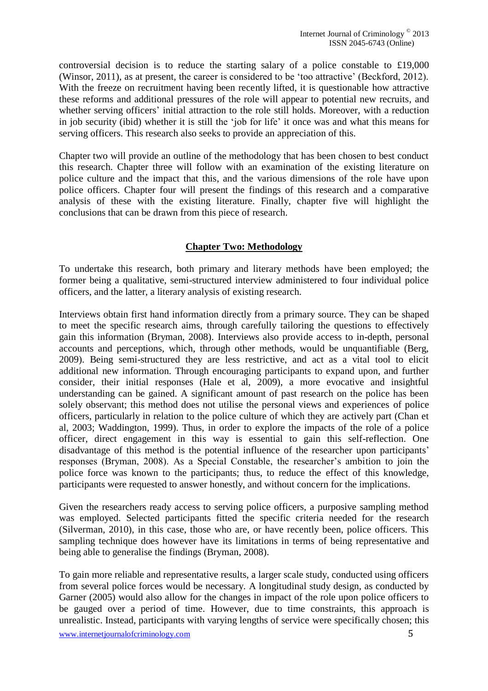controversial decision is to reduce the starting salary of a police constable to £19,000 (Winsor, 2011), as at present, the career is considered to be 'too attractive' (Beckford, 2012). With the freeze on recruitment having been recently lifted, it is questionable how attractive these reforms and additional pressures of the role will appear to potential new recruits, and whether serving officers' initial attraction to the role still holds. Moreover, with a reduction in job security (ibid) whether it is still the 'job for life' it once was and what this means for serving officers. This research also seeks to provide an appreciation of this.

Chapter two will provide an outline of the methodology that has been chosen to best conduct this research. Chapter three will follow with an examination of the existing literature on police culture and the impact that this, and the various dimensions of the role have upon police officers. Chapter four will present the findings of this research and a comparative analysis of these with the existing literature. Finally, chapter five will highlight the conclusions that can be drawn from this piece of research.

# **Chapter Two: Methodology**

To undertake this research, both primary and literary methods have been employed; the former being a qualitative, semi-structured interview administered to four individual police officers, and the latter, a literary analysis of existing research.

Interviews obtain first hand information directly from a primary source. They can be shaped to meet the specific research aims, through carefully tailoring the questions to effectively gain this information (Bryman, 2008). Interviews also provide access to in-depth, personal accounts and perceptions, which, through other methods, would be unquantifiable (Berg, 2009). Being semi-structured they are less restrictive, and act as a vital tool to elicit additional new information. Through encouraging participants to expand upon, and further consider, their initial responses (Hale et al, 2009), a more evocative and insightful understanding can be gained. A significant amount of past research on the police has been solely observant; this method does not utilise the personal views and experiences of police officers, particularly in relation to the police culture of which they are actively part (Chan et al, 2003; Waddington, 1999). Thus, in order to explore the impacts of the role of a police officer, direct engagement in this way is essential to gain this self-reflection. One disadvantage of this method is the potential influence of the researcher upon participants' responses (Bryman, 2008). As a Special Constable, the researcher's ambition to join the police force was known to the participants; thus, to reduce the effect of this knowledge, participants were requested to answer honestly, and without concern for the implications.

Given the researchers ready access to serving police officers, a purposive sampling method was employed. Selected participants fitted the specific criteria needed for the research (Silverman, 2010), in this case, those who are, or have recently been, police officers. This sampling technique does however have its limitations in terms of being representative and being able to generalise the findings (Bryman, 2008).

To gain more reliable and representative results, a larger scale study, conducted using officers from several police forces would be necessary. A longitudinal study design, as conducted by Garner (2005) would also allow for the changes in impact of the role upon police officers to be gauged over a period of time. However, due to time constraints, this approach is unrealistic. Instead, participants with varying lengths of service were specifically chosen; this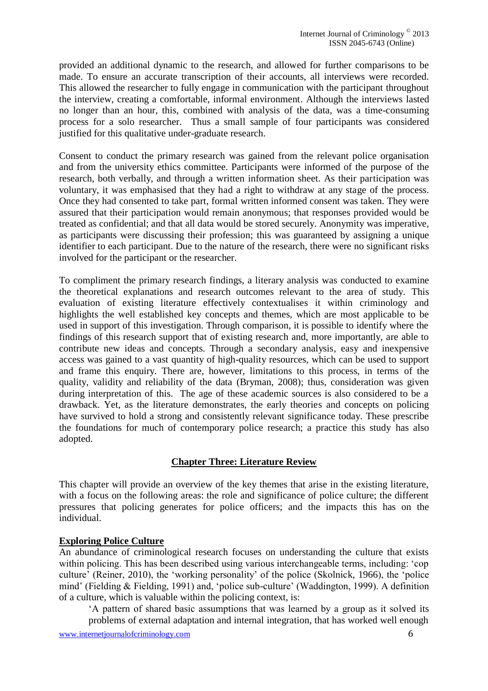provided an additional dynamic to the research, and allowed for further comparisons to be made. To ensure an accurate transcription of their accounts, all interviews were recorded. This allowed the researcher to fully engage in communication with the participant throughout the interview, creating a comfortable, informal environment. Although the interviews lasted no longer than an hour, this, combined with analysis of the data, was a time-consuming process for a solo researcher. Thus a small sample of four participants was considered justified for this qualitative under-graduate research.

Consent to conduct the primary research was gained from the relevant police organisation and from the university ethics committee. Participants were informed of the purpose of the research, both verbally, and through a written information sheet. As their participation was voluntary, it was emphasised that they had a right to withdraw at any stage of the process. Once they had consented to take part, formal written informed consent was taken. They were assured that their participation would remain anonymous; that responses provided would be treated as confidential; and that all data would be stored securely. Anonymity was imperative, as participants were discussing their profession; this was guaranteed by assigning a unique identifier to each participant. Due to the nature of the research, there were no significant risks involved for the participant or the researcher.

To compliment the primary research findings, a literary analysis was conducted to examine the theoretical explanations and research outcomes relevant to the area of study. This evaluation of existing literature effectively contextualises it within criminology and highlights the well established key concepts and themes, which are most applicable to be used in support of this investigation. Through comparison, it is possible to identify where the findings of this research support that of existing research and, more importantly, are able to contribute new ideas and concepts. Through a secondary analysis, easy and inexpensive access was gained to a vast quantity of high-quality resources, which can be used to support and frame this enquiry. There are, however, limitations to this process, in terms of the quality, validity and reliability of the data (Bryman, 2008); thus, consideration was given during interpretation of this. The age of these academic sources is also considered to be a drawback. Yet, as the literature demonstrates, the early theories and concepts on policing have survived to hold a strong and consistently relevant significance today. These prescribe the foundations for much of contemporary police research; a practice this study has also adopted.

# **Chapter Three: Literature Review**

This chapter will provide an overview of the key themes that arise in the existing literature, with a focus on the following areas: the role and significance of police culture; the different pressures that policing generates for police officers; and the impacts this has on the individual.

# **Exploring Police Culture**

An abundance of criminological research focuses on understanding the culture that exists within policing. This has been described using various interchangeable terms, including: 'cop culture' (Reiner, 2010), the 'working personality' of the police (Skolnick, 1966), the 'police mind' (Fielding & Fielding, 1991) and, 'police sub-culture' (Waddington, 1999). A definition of a culture, which is valuable within the policing context, is:

'A pattern of shared basic assumptions that was learned by a group as it solved its problems of external adaptation and internal integration, that has worked well enough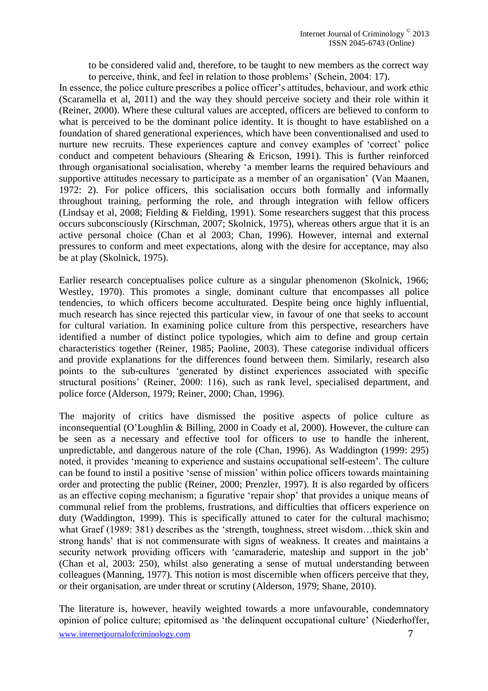to be considered valid and, therefore, to be taught to new members as the correct way to perceive, think, and feel in relation to those problems' (Schein, 2004: 17).

In essence, the police culture prescribes a police officer's attitudes, behaviour, and work ethic (Scaramella et al, 2011) and the way they should perceive society and their role within it (Reiner, 2000). Where these cultural values are accepted, officers are believed to conform to what is perceived to be the dominant police identity. It is thought to have established on a foundation of shared generational experiences, which have been conventionalised and used to nurture new recruits. These experiences capture and convey examples of 'correct' police conduct and competent behaviours (Shearing & Ericson, 1991). This is further reinforced through organisational socialisation, whereby 'a member learns the required behaviours and supportive attitudes necessary to participate as a member of an organisation' (Van Maanen, 1972: 2). For police officers, this socialisation occurs both formally and informally throughout training, performing the role, and through integration with fellow officers (Lindsay et al, 2008; Fielding & Fielding, 1991). Some researchers suggest that this process occurs subconsciously (Kirschman, 2007; Skolnick, 1975), whereas others argue that it is an active personal choice (Chan et al 2003; Chan, 1996). However, internal and external pressures to conform and meet expectations, along with the desire for acceptance, may also be at play (Skolnick, 1975).

Earlier research conceptualises police culture as a singular phenomenon (Skolnick, 1966; Westley, 1970). This promotes a single, dominant culture that encompasses all police tendencies, to which officers become acculturated. Despite being once highly influential, much research has since rejected this particular view, in favour of one that seeks to account for cultural variation. In examining police culture from this perspective, researchers have identified a number of distinct police typologies, which aim to define and group certain characteristics together (Reiner, 1985; Paoline, 2003). These categorise individual officers and provide explanations for the differences found between them. Similarly, research also points to the sub-cultures 'generated by distinct experiences associated with specific structural positions' (Reiner, 2000: 116), such as rank level, specialised department, and police force (Alderson, 1979; Reiner, 2000; Chan, 1996).

The majority of critics have dismissed the positive aspects of police culture as inconsequential (O'Loughlin & Billing, 2000 in Coady et al, 2000). However, the culture can be seen as a necessary and effective tool for officers to use to handle the inherent, unpredictable, and dangerous nature of the role (Chan, 1996). As Waddington (1999: 295) noted, it provides 'meaning to experience and sustains occupational self-esteem'. The culture can be found to instil a positive 'sense of mission' within police officers towards maintaining order and protecting the public (Reiner, 2000; Prenzler, 1997). It is also regarded by officers as an effective coping mechanism; a figurative 'repair shop' that provides a unique means of communal relief from the problems, frustrations, and difficulties that officers experience on duty (Waddington, 1999). This is specifically attuned to cater for the cultural machismo; what Graef (1989: 381) describes as the 'strength, toughness, street wisdom...thick skin and strong hands' that is not commensurate with signs of weakness. It creates and maintains a security network providing officers with 'camaraderie, mateship and support in the job' (Chan et al, 2003: 250), whilst also generating a sense of mutual understanding between colleagues (Manning, 1977). This notion is most discernible when officers perceive that they, or their organisation, are under threat or scrutiny (Alderson, 1979; Shane, 2010).

The literature is, however, heavily weighted towards a more unfavourable, condemnatory opinion of police culture; epitomised as 'the delinquent occupational culture' (Niederhoffer,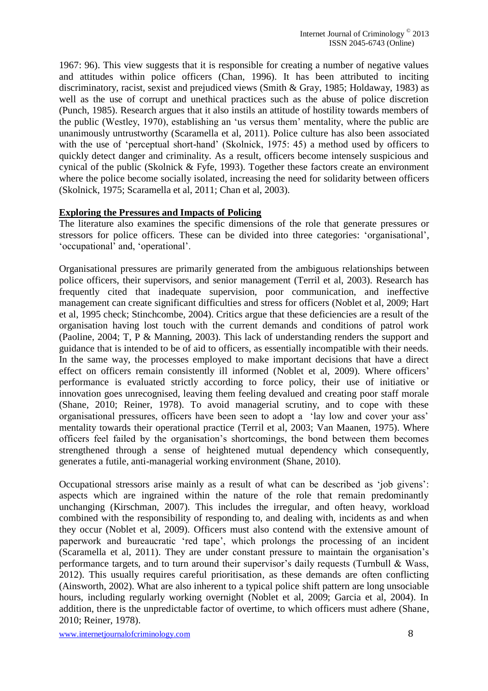1967: 96). This view suggests that it is responsible for creating a number of negative values and attitudes within police officers (Chan, 1996). It has been attributed to inciting discriminatory, racist, sexist and prejudiced views (Smith & Gray, 1985; Holdaway, 1983) as well as the use of corrupt and unethical practices such as the abuse of police discretion (Punch, 1985). Research argues that it also instils an attitude of hostility towards members of the public (Westley, 1970), establishing an 'us versus them' mentality, where the public are unanimously untrustworthy (Scaramella et al, 2011). Police culture has also been associated with the use of 'perceptual short-hand' (Skolnick, 1975: 45) a method used by officers to quickly detect danger and criminality. As a result, officers become intensely suspicious and cynical of the public (Skolnick & Fyfe, 1993). Together these factors create an environment where the police become socially isolated, increasing the need for solidarity between officers (Skolnick, 1975; Scaramella et al, 2011; Chan et al, 2003).

# **Exploring the Pressures and Impacts of Policing**

The literature also examines the specific dimensions of the role that generate pressures or stressors for police officers. These can be divided into three categories: 'organisational', 'occupational' and, 'operational'.

Organisational pressures are primarily generated from the ambiguous relationships between police officers, their supervisors, and senior management (Terril et al, 2003). Research has frequently cited that inadequate supervision, poor communication, and ineffective management can create significant difficulties and stress for officers (Noblet et al, 2009; Hart et al, 1995 check; Stinchcombe, 2004). Critics argue that these deficiencies are a result of the organisation having lost touch with the current demands and conditions of patrol work (Paoline, 2004; T, P & Manning, 2003). This lack of understanding renders the support and guidance that is intended to be of aid to officers, as essentially incompatible with their needs. In the same way, the processes employed to make important decisions that have a direct effect on officers remain consistently ill informed (Noblet et al, 2009). Where officers' performance is evaluated strictly according to force policy, their use of initiative or innovation goes unrecognised, leaving them feeling devalued and creating poor staff morale (Shane, 2010; Reiner, 1978). To avoid managerial scrutiny, and to cope with these organisational pressures, officers have been seen to adopt a 'lay low and cover your ass' mentality towards their operational practice (Terril et al, 2003; Van Maanen, 1975). Where officers feel failed by the organisation's shortcomings, the bond between them becomes strengthened through a sense of heightened mutual dependency which consequently, generates a futile, anti-managerial working environment (Shane, 2010).

Occupational stressors arise mainly as a result of what can be described as 'job givens': aspects which are ingrained within the nature of the role that remain predominantly unchanging (Kirschman, 2007). This includes the irregular, and often heavy, workload combined with the responsibility of responding to, and dealing with, incidents as and when they occur (Noblet et al, 2009). Officers must also contend with the extensive amount of paperwork and bureaucratic 'red tape', which prolongs the processing of an incident (Scaramella et al, 2011). They are under constant pressure to maintain the organisation's performance targets, and to turn around their supervisor's daily requests (Turnbull & Wass, 2012). This usually requires careful prioritisation, as these demands are often conflicting (Ainsworth, 2002). What are also inherent to a typical police shift pattern are long unsociable hours, including regularly working overnight (Noblet et al, 2009; Garcia et al, 2004). In addition, there is the unpredictable factor of overtime, to which officers must adhere (Shane, 2010; Reiner, 1978).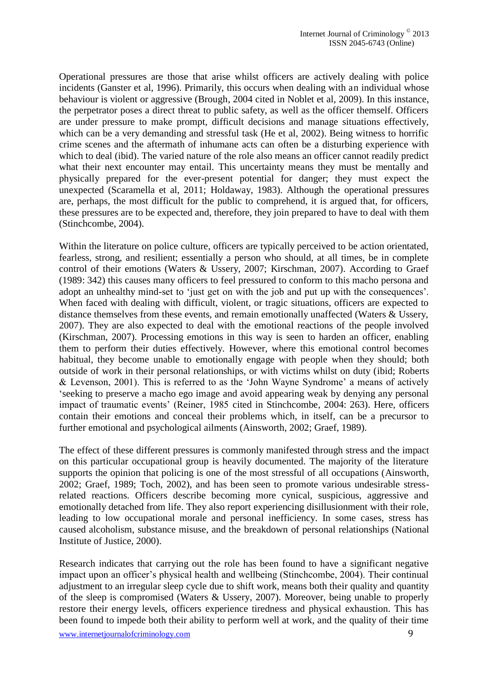Operational pressures are those that arise whilst officers are actively dealing with police incidents (Ganster et al, 1996). Primarily, this occurs when dealing with an individual whose behaviour is violent or aggressive (Brough, 2004 cited in Noblet et al, 2009). In this instance, the perpetrator poses a direct threat to public safety, as well as the officer themself. Officers are under pressure to make prompt, difficult decisions and manage situations effectively, which can be a very demanding and stressful task (He et al, 2002). Being witness to horrific crime scenes and the aftermath of inhumane acts can often be a disturbing experience with which to deal (ibid). The varied nature of the role also means an officer cannot readily predict what their next encounter may entail. This uncertainty means they must be mentally and physically prepared for the ever-present potential for danger; they must expect the unexpected (Scaramella et al, 2011; Holdaway, 1983). Although the operational pressures are, perhaps, the most difficult for the public to comprehend, it is argued that, for officers, these pressures are to be expected and, therefore, they join prepared to have to deal with them (Stinchcombe, 2004).

Within the literature on police culture, officers are typically perceived to be action orientated, fearless, strong, and resilient; essentially a person who should, at all times, be in complete control of their emotions (Waters & Ussery, 2007; Kirschman, 2007). According to Graef (1989: 342) this causes many officers to feel pressured to conform to this macho persona and adopt an unhealthy mind-set to 'just get on with the job and put up with the consequences'. When faced with dealing with difficult, violent, or tragic situations, officers are expected to distance themselves from these events, and remain emotionally unaffected (Waters & Ussery, 2007). They are also expected to deal with the emotional reactions of the people involved (Kirschman, 2007). Processing emotions in this way is seen to harden an officer, enabling them to perform their duties effectively. However, where this emotional control becomes habitual, they become unable to emotionally engage with people when they should; both outside of work in their personal relationships, or with victims whilst on duty (ibid; Roberts & Levenson, 2001). This is referred to as the 'John Wayne Syndrome' a means of actively 'seeking to preserve a macho ego image and avoid appearing weak by denying any personal impact of traumatic events' (Reiner, 1985 cited in Stinchcombe, 2004: 263). Here, officers contain their emotions and conceal their problems which, in itself, can be a precursor to further emotional and psychological ailments (Ainsworth, 2002; Graef, 1989).

The effect of these different pressures is commonly manifested through stress and the impact on this particular occupational group is heavily documented. The majority of the literature supports the opinion that policing is one of the most stressful of all occupations (Ainsworth, 2002; Graef, 1989; Toch, 2002), and has been seen to promote various undesirable stressrelated reactions. Officers describe becoming more cynical, suspicious, aggressive and emotionally detached from life. They also report experiencing disillusionment with their role, leading to low occupational morale and personal inefficiency. In some cases, stress has caused alcoholism, substance misuse, and the breakdown of personal relationships (National Institute of Justice, 2000).

Research indicates that carrying out the role has been found to have a significant negative impact upon an officer's physical health and wellbeing (Stinchcombe, 2004). Their continual adjustment to an irregular sleep cycle due to shift work, means both their quality and quantity of the sleep is compromised (Waters & Ussery, 2007). Moreover, being unable to properly restore their energy levels, officers experience tiredness and physical exhaustion. This has been found to impede both their ability to perform well at work, and the quality of their time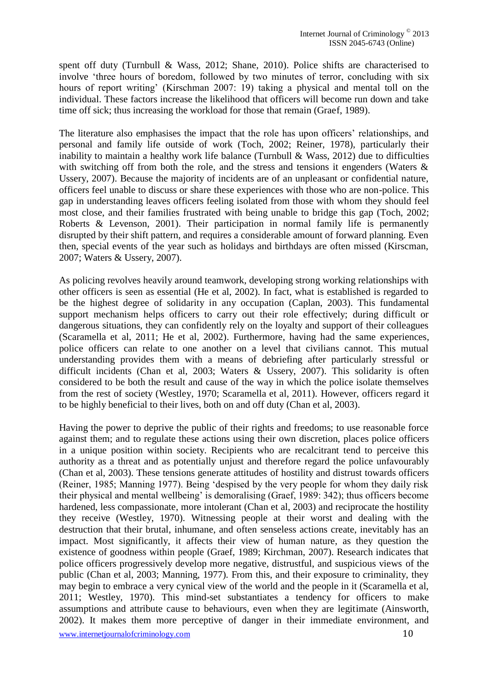spent off duty (Turnbull & Wass, 2012; Shane, 2010). Police shifts are characterised to involve 'three hours of boredom, followed by two minutes of terror, concluding with six hours of report writing' (Kirschman 2007: 19) taking a physical and mental toll on the individual. These factors increase the likelihood that officers will become run down and take time off sick; thus increasing the workload for those that remain (Graef, 1989).

The literature also emphasises the impact that the role has upon officers' relationships, and personal and family life outside of work (Toch, 2002; Reiner, 1978), particularly their inability to maintain a healthy work life balance (Turnbull & Wass, 2012) due to difficulties with switching off from both the role, and the stress and tensions it engenders (Waters & Ussery, 2007). Because the majority of incidents are of an unpleasant or confidential nature, officers feel unable to discuss or share these experiences with those who are non-police. This gap in understanding leaves officers feeling isolated from those with whom they should feel most close, and their families frustrated with being unable to bridge this gap (Toch, 2002; Roberts & Levenson, 2001). Their participation in normal family life is permanently disrupted by their shift pattern, and requires a considerable amount of forward planning. Even then, special events of the year such as holidays and birthdays are often missed (Kirscman, 2007; Waters & Ussery, 2007).

As policing revolves heavily around teamwork, developing strong working relationships with other officers is seen as essential (He et al, 2002). In fact, what is established is regarded to be the highest degree of solidarity in any occupation (Caplan, 2003). This fundamental support mechanism helps officers to carry out their role effectively; during difficult or dangerous situations, they can confidently rely on the loyalty and support of their colleagues (Scaramella et al, 2011; He et al, 2002). Furthermore, having had the same experiences, police officers can relate to one another on a level that civilians cannot. This mutual understanding provides them with a means of debriefing after particularly stressful or difficult incidents (Chan et al, 2003; Waters & Ussery, 2007). This solidarity is often considered to be both the result and cause of the way in which the police isolate themselves from the rest of society (Westley, 1970; Scaramella et al, 2011). However, officers regard it to be highly beneficial to their lives, both on and off duty (Chan et al, 2003).

Having the power to deprive the public of their rights and freedoms; to use reasonable force against them; and to regulate these actions using their own discretion, places police officers in a unique position within society. Recipients who are recalcitrant tend to perceive this authority as a threat and as potentially unjust and therefore regard the police unfavourably (Chan et al, 2003). These tensions generate attitudes of hostility and distrust towards officers (Reiner, 1985; Manning 1977). Being 'despised by the very people for whom they daily risk their physical and mental wellbeing' is demoralising (Graef, 1989: 342); thus officers become hardened, less compassionate, more intolerant (Chan et al, 2003) and reciprocate the hostility they receive (Westley, 1970). Witnessing people at their worst and dealing with the destruction that their brutal, inhumane, and often senseless actions create, inevitably has an impact. Most significantly, it affects their view of human nature, as they question the existence of goodness within people (Graef, 1989; Kirchman, 2007). Research indicates that police officers progressively develop more negative, distrustful, and suspicious views of the public (Chan et al, 2003; Manning, 1977). From this, and their exposure to criminality, they may begin to embrace a very cynical view of the world and the people in it (Scaramella et al, 2011; Westley, 1970). This mind-set substantiates a tendency for officers to make assumptions and attribute cause to behaviours, even when they are legitimate (Ainsworth, 2002). It makes them more perceptive of danger in their immediate environment, and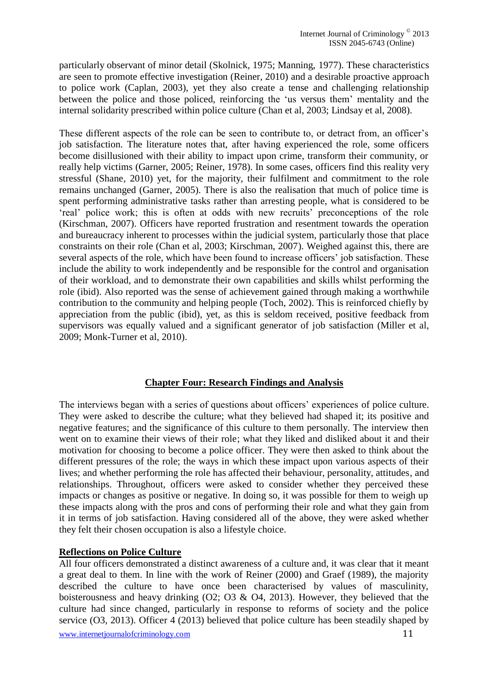particularly observant of minor detail (Skolnick, 1975; Manning, 1977). These characteristics are seen to promote effective investigation (Reiner, 2010) and a desirable proactive approach to police work (Caplan, 2003), yet they also create a tense and challenging relationship between the police and those policed, reinforcing the 'us versus them' mentality and the internal solidarity prescribed within police culture (Chan et al, 2003; Lindsay et al, 2008).

These different aspects of the role can be seen to contribute to, or detract from, an officer's job satisfaction. The literature notes that, after having experienced the role, some officers become disillusioned with their ability to impact upon crime, transform their community, or really help victims (Garner, 2005; Reiner, 1978). In some cases, officers find this reality very stressful (Shane, 2010) yet, for the majority, their fulfilment and commitment to the role remains unchanged (Garner, 2005). There is also the realisation that much of police time is spent performing administrative tasks rather than arresting people, what is considered to be 'real' police work; this is often at odds with new recruits' preconceptions of the role (Kirschman, 2007). Officers have reported frustration and resentment towards the operation and bureaucracy inherent to processes within the judicial system, particularly those that place constraints on their role (Chan et al, 2003; Kirschman, 2007). Weighed against this, there are several aspects of the role, which have been found to increase officers' job satisfaction. These include the ability to work independently and be responsible for the control and organisation of their workload, and to demonstrate their own capabilities and skills whilst performing the role (ibid). Also reported was the sense of achievement gained through making a worthwhile contribution to the community and helping people (Toch, 2002). This is reinforced chiefly by appreciation from the public (ibid), yet, as this is seldom received, positive feedback from supervisors was equally valued and a significant generator of job satisfaction (Miller et al, 2009; Monk-Turner et al, 2010).

# **Chapter Four: Research Findings and Analysis**

The interviews began with a series of questions about officers' experiences of police culture. They were asked to describe the culture; what they believed had shaped it; its positive and negative features; and the significance of this culture to them personally. The interview then went on to examine their views of their role; what they liked and disliked about it and their motivation for choosing to become a police officer. They were then asked to think about the different pressures of the role; the ways in which these impact upon various aspects of their lives; and whether performing the role has affected their behaviour, personality, attitudes, and relationships. Throughout, officers were asked to consider whether they perceived these impacts or changes as positive or negative. In doing so, it was possible for them to weigh up these impacts along with the pros and cons of performing their role and what they gain from it in terms of job satisfaction. Having considered all of the above, they were asked whether they felt their chosen occupation is also a lifestyle choice.

#### **Reflections on Police Culture**

All four officers demonstrated a distinct awareness of a culture and, it was clear that it meant a great deal to them. In line with the work of Reiner (2000) and Graef (1989), the majority described the culture to have once been characterised by values of masculinity, boisterousness and heavy drinking (O2; O3 & O4, 2013). However, they believed that the culture had since changed, particularly in response to reforms of society and the police service (O3, 2013). Officer 4 (2013) believed that police culture has been steadily shaped by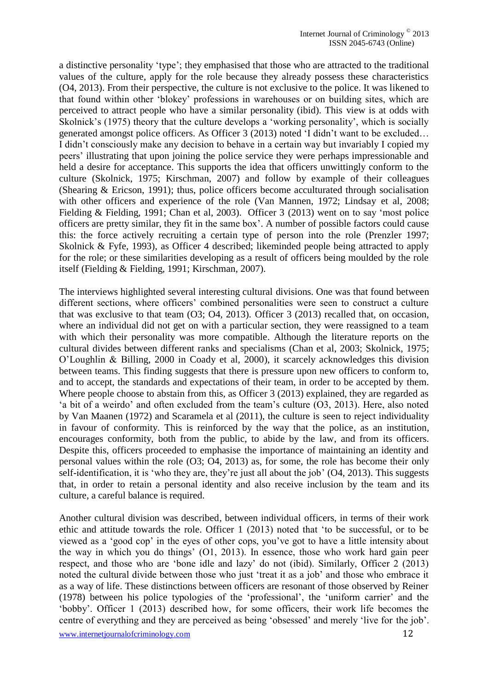a distinctive personality 'type'; they emphasised that those who are attracted to the traditional values of the culture, apply for the role because they already possess these characteristics (O4, 2013). From their perspective, the culture is not exclusive to the police. It was likened to that found within other 'blokey' professions in warehouses or on building sites, which are perceived to attract people who have a similar personality (ibid). This view is at odds with Skolnick's (1975) theory that the culture develops a 'working personality', which is socially generated amongst police officers. As Officer 3 (2013) noted 'I didn't want to be excluded… I didn't consciously make any decision to behave in a certain way but invariably I copied my peers' illustrating that upon joining the police service they were perhaps impressionable and held a desire for acceptance. This supports the idea that officers unwittingly conform to the culture (Skolnick, 1975; Kirschman, 2007) and follow by example of their colleagues (Shearing & Ericson, 1991); thus, police officers become acculturated through socialisation with other officers and experience of the role (Van Mannen, 1972; Lindsay et al, 2008; Fielding & Fielding, 1991; Chan et al, 2003). Officer 3 (2013) went on to say 'most police officers are pretty similar, they fit in the same box'. A number of possible factors could cause this: the force actively recruiting a certain type of person into the role (Prenzler 1997; Skolnick & Fyfe, 1993), as Officer 4 described; likeminded people being attracted to apply for the role; or these similarities developing as a result of officers being moulded by the role itself (Fielding & Fielding, 1991; Kirschman, 2007).

The interviews highlighted several interesting cultural divisions. One was that found between different sections, where officers' combined personalities were seen to construct a culture that was exclusive to that team (O3; O4, 2013). Officer 3 (2013) recalled that, on occasion, where an individual did not get on with a particular section, they were reassigned to a team with which their personality was more compatible. Although the literature reports on the cultural divides between different ranks and specialisms (Chan et al, 2003; Skolnick, 1975; O'Loughlin & Billing, 2000 in Coady et al, 2000), it scarcely acknowledges this division between teams. This finding suggests that there is pressure upon new officers to conform to, and to accept, the standards and expectations of their team, in order to be accepted by them. Where people choose to abstain from this, as Officer 3 (2013) explained, they are regarded as 'a bit of a weirdo' and often excluded from the team's culture (O3, 2013). Here, also noted by Van Maanen (1972) and Scaramela et al (2011), the culture is seen to reject individuality in favour of conformity. This is reinforced by the way that the police, as an institution, encourages conformity, both from the public, to abide by the law, and from its officers. Despite this, officers proceeded to emphasise the importance of maintaining an identity and personal values within the role (O3; O4, 2013) as, for some, the role has become their only self-identification, it is 'who they are, they're just all about the job' (O4, 2013). This suggests that, in order to retain a personal identity and also receive inclusion by the team and its culture, a careful balance is required.

Another cultural division was described, between individual officers, in terms of their work ethic and attitude towards the role. Officer 1 (2013) noted that 'to be successful, or to be viewed as a 'good cop' in the eyes of other cops, you've got to have a little intensity about the way in which you do things' (O1, 2013). In essence, those who work hard gain peer respect, and those who are 'bone idle and lazy' do not (ibid). Similarly, Officer 2 (2013) noted the cultural divide between those who just 'treat it as a job' and those who embrace it as a way of life. These distinctions between officers are resonant of those observed by Reiner (1978) between his police typologies of the 'professional', the 'uniform carrier' and the 'bobby'. Officer 1 (2013) described how, for some officers, their work life becomes the centre of everything and they are perceived as being 'obsessed' and merely 'live for the job'.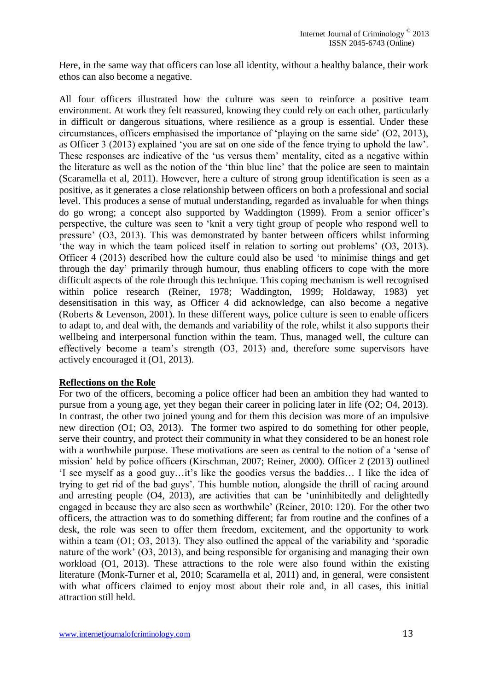Here, in the same way that officers can lose all identity, without a healthy balance, their work ethos can also become a negative.

All four officers illustrated how the culture was seen to reinforce a positive team environment. At work they felt reassured, knowing they could rely on each other, particularly in difficult or dangerous situations, where resilience as a group is essential. Under these circumstances, officers emphasised the importance of 'playing on the same side' (O2, 2013), as Officer 3 (2013) explained 'you are sat on one side of the fence trying to uphold the law'. These responses are indicative of the 'us versus them' mentality, cited as a negative within the literature as well as the notion of the 'thin blue line' that the police are seen to maintain (Scaramella et al, 2011). However, here a culture of strong group identification is seen as a positive, as it generates a close relationship between officers on both a professional and social level. This produces a sense of mutual understanding, regarded as invaluable for when things do go wrong; a concept also supported by Waddington (1999). From a senior officer's perspective, the culture was seen to 'knit a very tight group of people who respond well to pressure' (O3, 2013). This was demonstrated by banter between officers whilst informing 'the way in which the team policed itself in relation to sorting out problems' (O3, 2013). Officer 4 (2013) described how the culture could also be used 'to minimise things and get through the day' primarily through humour, thus enabling officers to cope with the more difficult aspects of the role through this technique. This coping mechanism is well recognised within police research (Reiner, 1978; Waddington, 1999; Holdaway, 1983) yet desensitisation in this way, as Officer 4 did acknowledge, can also become a negative (Roberts & Levenson, 2001). In these different ways, police culture is seen to enable officers to adapt to, and deal with, the demands and variability of the role, whilst it also supports their wellbeing and interpersonal function within the team. Thus, managed well, the culture can effectively become a team's strength (O3, 2013) and, therefore some supervisors have actively encouraged it (O1, 2013).

# **Reflections on the Role**

For two of the officers, becoming a police officer had been an ambition they had wanted to pursue from a young age, yet they began their career in policing later in life (O2; O4, 2013). In contrast, the other two joined young and for them this decision was more of an impulsive new direction (O1; O3, 2013). The former two aspired to do something for other people, serve their country, and protect their community in what they considered to be an honest role with a worthwhile purpose. These motivations are seen as central to the notion of a 'sense of mission' held by police officers (Kirschman, 2007; Reiner, 2000). Officer 2 (2013) outlined 'I see myself as a good guy…it's like the goodies versus the baddies… I like the idea of trying to get rid of the bad guys'. This humble notion, alongside the thrill of racing around and arresting people (O4, 2013), are activities that can be 'uninhibitedly and delightedly engaged in because they are also seen as worthwhile' (Reiner, 2010: 120). For the other two officers, the attraction was to do something different; far from routine and the confines of a desk, the role was seen to offer them freedom, excitement, and the opportunity to work within a team (O1; O3, 2013). They also outlined the appeal of the variability and 'sporadic nature of the work' (O3, 2013), and being responsible for organising and managing their own workload (O1, 2013). These attractions to the role were also found within the existing literature (Monk-Turner et al, 2010; Scaramella et al, 2011) and, in general, were consistent with what officers claimed to enjoy most about their role and, in all cases, this initial attraction still held.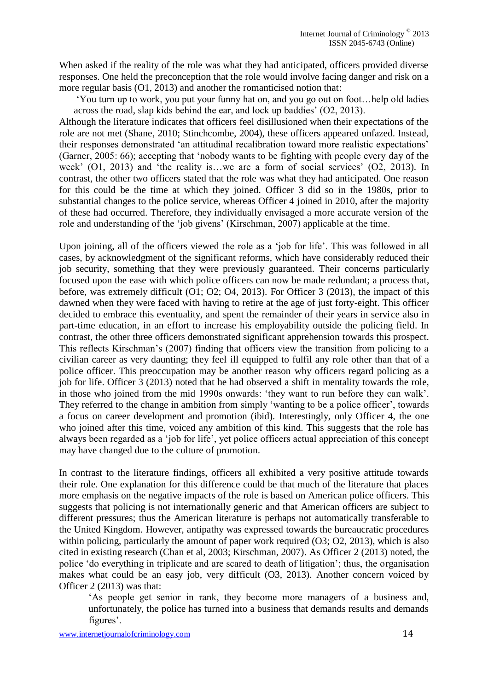When asked if the reality of the role was what they had anticipated, officers provided diverse responses. One held the preconception that the role would involve facing danger and risk on a more regular basis (O1, 2013) and another the romanticised notion that:

'You turn up to work, you put your funny hat on, and you go out on foot…help old ladies across the road, slap kids behind the ear, and lock up baddies' (O2, 2013).

Although the literature indicates that officers feel disillusioned when their expectations of the role are not met (Shane, 2010; Stinchcombe, 2004), these officers appeared unfazed. Instead, their responses demonstrated 'an attitudinal recalibration toward more realistic expectations' (Garner, 2005: 66); accepting that 'nobody wants to be fighting with people every day of the week' (O1, 2013) and 'the reality is…we are a form of social services' (O2, 2013). In contrast, the other two officers stated that the role was what they had anticipated. One reason for this could be the time at which they joined. Officer 3 did so in the 1980s, prior to substantial changes to the police service, whereas Officer 4 joined in 2010, after the majority of these had occurred. Therefore, they individually envisaged a more accurate version of the role and understanding of the 'job givens' (Kirschman, 2007) applicable at the time.

Upon joining, all of the officers viewed the role as a 'job for life'. This was followed in all cases, by acknowledgment of the significant reforms, which have considerably reduced their job security, something that they were previously guaranteed. Their concerns particularly focused upon the ease with which police officers can now be made redundant; a process that, before, was extremely difficult (O1; O2; O4, 2013). For Officer 3 (2013), the impact of this dawned when they were faced with having to retire at the age of just forty-eight. This officer decided to embrace this eventuality, and spent the remainder of their years in service also in part-time education, in an effort to increase his employability outside the policing field. In contrast, the other three officers demonstrated significant apprehension towards this prospect. This reflects Kirschman's (2007) finding that officers view the transition from policing to a civilian career as very daunting; they feel ill equipped to fulfil any role other than that of a police officer. This preoccupation may be another reason why officers regard policing as a job for life. Officer 3 (2013) noted that he had observed a shift in mentality towards the role, in those who joined from the mid 1990s onwards: 'they want to run before they can walk'. They referred to the change in ambition from simply 'wanting to be a police officer', towards a focus on career development and promotion (ibid). Interestingly, only Officer 4, the one who joined after this time, voiced any ambition of this kind. This suggests that the role has always been regarded as a 'job for life', yet police officers actual appreciation of this concept may have changed due to the culture of promotion.

In contrast to the literature findings, officers all exhibited a very positive attitude towards their role. One explanation for this difference could be that much of the literature that places more emphasis on the negative impacts of the role is based on American police officers. This suggests that policing is not internationally generic and that American officers are subject to different pressures; thus the American literature is perhaps not automatically transferable to the United Kingdom. However, antipathy was expressed towards the bureaucratic procedures within policing, particularly the amount of paper work required (O3; O2, 2013), which is also cited in existing research (Chan et al, 2003; Kirschman, 2007). As Officer 2 (2013) noted, the police 'do everything in triplicate and are scared to death of litigation'; thus, the organisation makes what could be an easy job, very difficult (O3, 2013). Another concern voiced by Officer 2 (2013) was that:

'As people get senior in rank, they become more managers of a business and, unfortunately, the police has turned into a business that demands results and demands figures'.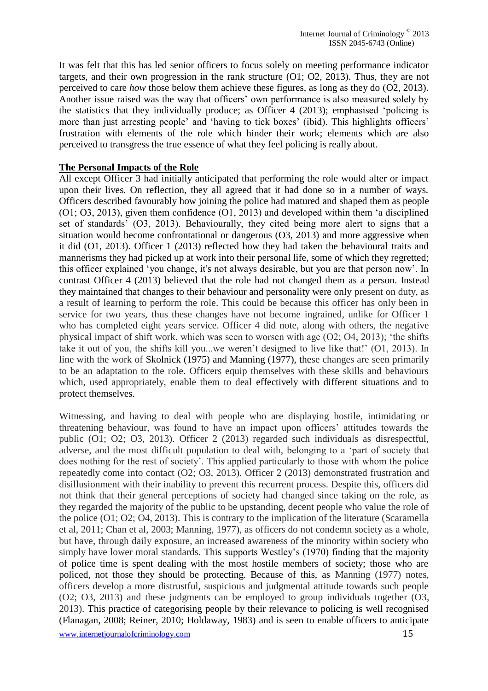It was felt that this has led senior officers to focus solely on meeting performance indicator targets, and their own progression in the rank structure (O1; O2, 2013). Thus, they are not perceived to care *how* those below them achieve these figures, as long as they do (O2, 2013). Another issue raised was the way that officers' own performance is also measured solely by the statistics that they individually produce; as Officer 4 (2013); emphasised 'policing is more than just arresting people' and 'having to tick boxes' (ibid). This highlights officers' frustration with elements of the role which hinder their work; elements which are also perceived to transgress the true essence of what they feel policing is really about.

## **The Personal Impacts of the Role**

All except Officer 3 had initially anticipated that performing the role would alter or impact upon their lives. On reflection, they all agreed that it had done so in a number of ways. Officers described favourably how joining the police had matured and shaped them as people (O1; O3, 2013), given them confidence (O1, 2013) and developed within them 'a disciplined set of standards' (O3, 2013). Behaviourally, they cited being more alert to signs that a situation would become confrontational or dangerous (O3, 2013) and more aggressive when it did (O1, 2013). Officer 1 (2013) reflected how they had taken the behavioural traits and mannerisms they had picked up at work into their personal life, some of which they regretted; this officer explained 'you change, it's not always desirable, but you are that person now'. In contrast Officer 4 (2013) believed that the role had not changed them as a person. Instead they maintained that changes to their behaviour and personality were only present on duty, as a result of learning to perform the role. This could be because this officer has only been in service for two years, thus these changes have not become ingrained, unlike for Officer 1 who has completed eight years service. Officer 4 did note, along with others, the negative physical impact of shift work, which was seen to worsen with age (O2; O4, 2013); 'the shifts take it out of you, the shifts kill you...we weren't designed to live like that!' (O1, 2013). In line with the work of Skolnick (1975) and Manning (1977), these changes are seen primarily to be an adaptation to the role. Officers equip themselves with these skills and behaviours which, used appropriately, enable them to deal effectively with different situations and to protect themselves.

Witnessing, and having to deal with people who are displaying hostile, intimidating or threatening behaviour, was found to have an impact upon officers' attitudes towards the public (O1; O2; O3, 2013). Officer 2 (2013) regarded such individuals as disrespectful, adverse, and the most difficult population to deal with, belonging to a 'part of society that does nothing for the rest of society'. This applied particularly to those with whom the police repeatedly come into contact (O2; O3, 2013). Officer 2 (2013) demonstrated frustration and disillusionment with their inability to prevent this recurrent process. Despite this, officers did not think that their general perceptions of society had changed since taking on the role, as they regarded the majority of the public to be upstanding, decent people who value the role of the police (O1; O2; O4, 2013). This is contrary to the implication of the literature (Scaramella et al, 2011; Chan et al, 2003; Manning, 1977), as officers do not condemn society as a whole, but have, through daily exposure, an increased awareness of the minority within society who simply have lower moral standards. This supports Westley's (1970) finding that the majority of police time is spent dealing with the most hostile members of society; those who are policed, not those they should be protecting. Because of this, as Manning (1977) notes, officers develop a more distrustful, suspicious and judgmental attitude towards such people (O2; O3, 2013) and these judgments can be employed to group individuals together (O3, 2013). This practice of categorising people by their relevance to policing is well recognised (Flanagan, 2008; Reiner, 2010; Holdaway, 1983) and is seen to enable officers to anticipate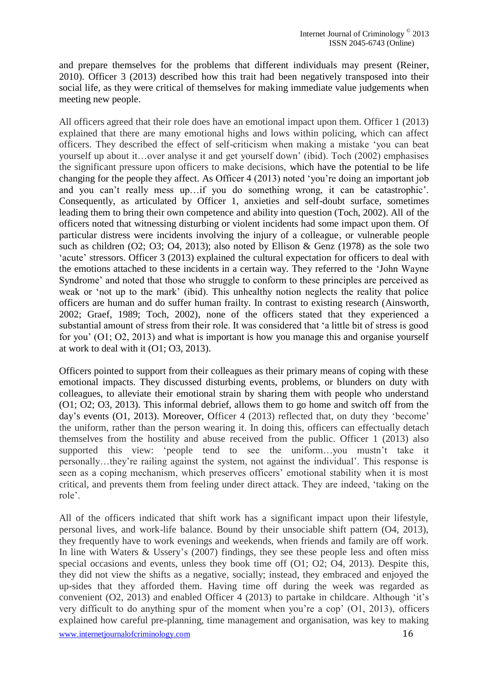and prepare themselves for the problems that different individuals may present (Reiner, 2010). Officer 3 (2013) described how this trait had been negatively transposed into their social life, as they were critical of themselves for making immediate value judgements when meeting new people.

All officers agreed that their role does have an emotional impact upon them. Officer 1 (2013) explained that there are many emotional highs and lows within policing, which can affect officers. They described the effect of self-criticism when making a mistake 'you can beat yourself up about it…over analyse it and get yourself down' (ibid). Toch (2002) emphasises the significant pressure upon officers to make decisions, which have the potential to be life changing for the people they affect. As Officer 4 (2013) noted 'you're doing an important job and you can't really mess up…if you do something wrong, it can be catastrophic'. Consequently, as articulated by Officer 1, anxieties and self-doubt surface, sometimes leading them to bring their own competence and ability into question (Toch, 2002). All of the officers noted that witnessing disturbing or violent incidents had some impact upon them. Of particular distress were incidents involving the injury of a colleague, or vulnerable people such as children (O2; O3; O4, 2013); also noted by Ellison & Genz (1978) as the sole two 'acute' stressors. Officer 3 (2013) explained the cultural expectation for officers to deal with the emotions attached to these incidents in a certain way. They referred to the 'John Wayne Syndrome' and noted that those who struggle to conform to these principles are perceived as weak or 'not up to the mark' (ibid). This unhealthy notion neglects the reality that police officers are human and do suffer human frailty. In contrast to existing research (Ainsworth, 2002; Graef, 1989; Toch, 2002), none of the officers stated that they experienced a substantial amount of stress from their role. It was considered that 'a little bit of stress is good for you' (O1; O2, 2013) and what is important is how you manage this and organise yourself at work to deal with it (O1; O3, 2013).

Officers pointed to support from their colleagues as their primary means of coping with these emotional impacts. They discussed disturbing events, problems, or blunders on duty with colleagues, to alleviate their emotional strain by sharing them with people who understand (O1; O2; O3, 2013). This informal debrief, allows them to go home and switch off from the day's events (O1, 2013). Moreover, Officer 4 (2013) reflected that, on duty they 'become' the uniform, rather than the person wearing it. In doing this, officers can effectually detach themselves from the hostility and abuse received from the public. Officer 1 (2013) also supported this view: 'people tend to see the uniform…you mustn't take it personally…they're railing against the system, not against the individual'. This response is seen as a coping mechanism, which preserves officers' emotional stability when it is most critical, and prevents them from feeling under direct attack. They are indeed, 'taking on the role'.

All of the officers indicated that shift work has a significant impact upon their lifestyle, personal lives, and work-life balance. Bound by their unsociable shift pattern (O4, 2013), they frequently have to work evenings and weekends, when friends and family are off work. In line with Waters & Ussery's (2007) findings, they see these people less and often miss special occasions and events, unless they book time off (O1; O2; O4, 2013). Despite this, they did not view the shifts as a negative, socially; instead, they embraced and enjoyed the up-sides that they afforded them. Having time off during the week was regarded as convenient (O2, 2013) and enabled Officer 4 (2013) to partake in childcare. Although 'it's very difficult to do anything spur of the moment when you're a cop' (O1, 2013), officers explained how careful pre-planning, time management and organisation, was key to making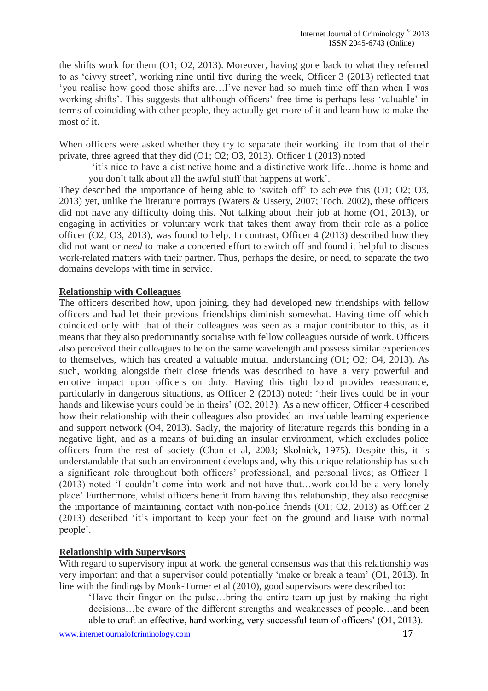the shifts work for them (O1; O2, 2013). Moreover, having gone back to what they referred to as 'civvy street', working nine until five during the week, Officer 3 (2013) reflected that 'you realise how good those shifts are…I've never had so much time off than when I was working shifts'. This suggests that although officers' free time is perhaps less 'valuable' in terms of coinciding with other people, they actually get more of it and learn how to make the most of it.

When officers were asked whether they try to separate their working life from that of their private, three agreed that they did (O1; O2; O3, 2013). Officer 1 (2013) noted

'it's nice to have a distinctive home and a distinctive work life…home is home and you don't talk about all the awful stuff that happens at work'.

They described the importance of being able to 'switch off' to achieve this (O1; O2; O3, 2013) yet, unlike the literature portrays (Waters & Ussery, 2007; Toch, 2002), these officers did not have any difficulty doing this. Not talking about their job at home (O1, 2013), or engaging in activities or voluntary work that takes them away from their role as a police officer (O2; O3, 2013), was found to help. In contrast, Officer 4 (2013) described how they did not want or *need* to make a concerted effort to switch off and found it helpful to discuss work-related matters with their partner. Thus, perhaps the desire, or need, to separate the two domains develops with time in service.

# **Relationship with Colleagues**

The officers described how, upon joining, they had developed new friendships with fellow officers and had let their previous friendships diminish somewhat. Having time off which coincided only with that of their colleagues was seen as a major contributor to this, as it means that they also predominantly socialise with fellow colleagues outside of work. Officers also perceived their colleagues to be on the same wavelength and possess similar experiences to themselves, which has created a valuable mutual understanding (O1; O2; O4, 2013). As such, working alongside their close friends was described to have a very powerful and emotive impact upon officers on duty. Having this tight bond provides reassurance, particularly in dangerous situations, as Officer 2 (2013) noted: 'their lives could be in your hands and likewise yours could be in theirs' (O2, 2013). As a new officer, Officer 4 described how their relationship with their colleagues also provided an invaluable learning experience and support network (O4, 2013). Sadly, the majority of literature regards this bonding in a negative light, and as a means of building an insular environment, which excludes police officers from the rest of society (Chan et al, 2003; Skolnick, 1975). Despite this, it is understandable that such an environment develops and, why this unique relationship has such a significant role throughout both officers' professional, and personal lives; as Officer 1 (2013) noted 'I couldn't come into work and not have that…work could be a very lonely place' Furthermore, whilst officers benefit from having this relationship, they also recognise the importance of maintaining contact with non-police friends (O1; O2, 2013) as Officer 2 (2013) described 'it's important to keep your feet on the ground and liaise with normal people'.

#### **Relationship with Supervisors**

With regard to supervisory input at work, the general consensus was that this relationship was very important and that a supervisor could potentially 'make or break a team' (O1, 2013). In line with the findings by Monk-Turner et al (2010), good supervisors were described to:

'Have their finger on the pulse…bring the entire team up just by making the right decisions…be aware of the different strengths and weaknesses of people…and been able to craft an effective, hard working, very successful team of officers' (O1, 2013).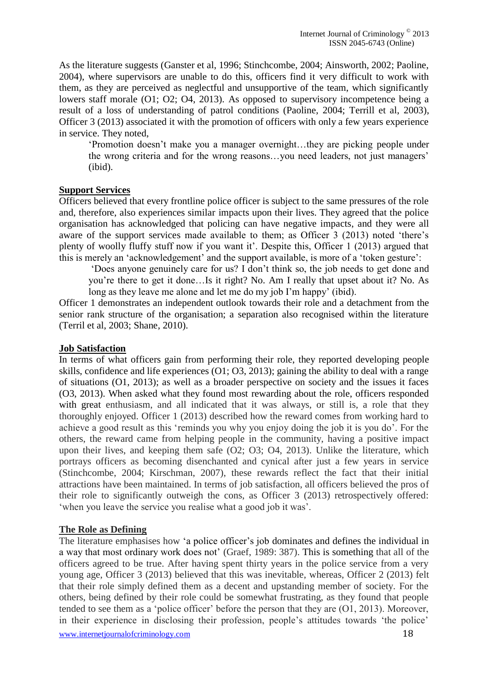As the literature suggests (Ganster et al, 1996; Stinchcombe, 2004; Ainsworth, 2002; Paoline, 2004), where supervisors are unable to do this, officers find it very difficult to work with them, as they are perceived as neglectful and unsupportive of the team, which significantly lowers staff morale (O1; O2; O4, 2013). As opposed to supervisory incompetence being a result of a loss of understanding of patrol conditions (Paoline, 2004; Terrill et al, 2003), Officer 3 (2013) associated it with the promotion of officers with only a few years experience in service. They noted,

'Promotion doesn't make you a manager overnight…they are picking people under the wrong criteria and for the wrong reasons…you need leaders, not just managers' (ibid).

#### **Support Services**

Officers believed that every frontline police officer is subject to the same pressures of the role and, therefore, also experiences similar impacts upon their lives. They agreed that the police organisation has acknowledged that policing can have negative impacts, and they were all aware of the support services made available to them; as Officer 3 (2013) noted 'there's plenty of woolly fluffy stuff now if you want it'. Despite this, Officer 1 (2013) argued that this is merely an 'acknowledgement' and the support available, is more of a 'token gesture':

'Does anyone genuinely care for us? I don't think so, the job needs to get done and you're there to get it done…Is it right? No. Am I really that upset about it? No. As long as they leave me alone and let me do my job I'm happy' (ibid).

Officer 1 demonstrates an independent outlook towards their role and a detachment from the senior rank structure of the organisation; a separation also recognised within the literature (Terril et al, 2003; Shane, 2010).

#### **Job Satisfaction**

In terms of what officers gain from performing their role, they reported developing people skills, confidence and life experiences (O1; O3, 2013); gaining the ability to deal with a range of situations (O1, 2013); as well as a broader perspective on society and the issues it faces (O3, 2013). When asked what they found most rewarding about the role, officers responded with great enthusiasm, and all indicated that it was always, or still is, a role that they thoroughly enjoyed. Officer 1 (2013) described how the reward comes from working hard to achieve a good result as this 'reminds you why you enjoy doing the job it is you do'. For the others, the reward came from helping people in the community, having a positive impact upon their lives, and keeping them safe (O2; O3; O4, 2013). Unlike the literature, which portrays officers as becoming disenchanted and cynical after just a few years in service (Stinchcombe, 2004; Kirschman, 2007), these rewards reflect the fact that their initial attractions have been maintained. In terms of job satisfaction, all officers believed the pros of their role to significantly outweigh the cons, as Officer 3 (2013) retrospectively offered: 'when you leave the service you realise what a good job it was'.

#### **The Role as Defining**

The literature emphasises how 'a police officer's job dominates and defines the individual in a way that most ordinary work does not' (Graef, 1989: 387). This is something that all of the officers agreed to be true. After having spent thirty years in the police service from a very young age, Officer 3 (2013) believed that this was inevitable, whereas, Officer 2 (2013) felt that their role simply defined them as a decent and upstanding member of society. For the others, being defined by their role could be somewhat frustrating, as they found that people tended to see them as a 'police officer' before the person that they are (O1, 2013). Moreover, in their experience in disclosing their profession, people's attitudes towards 'the police'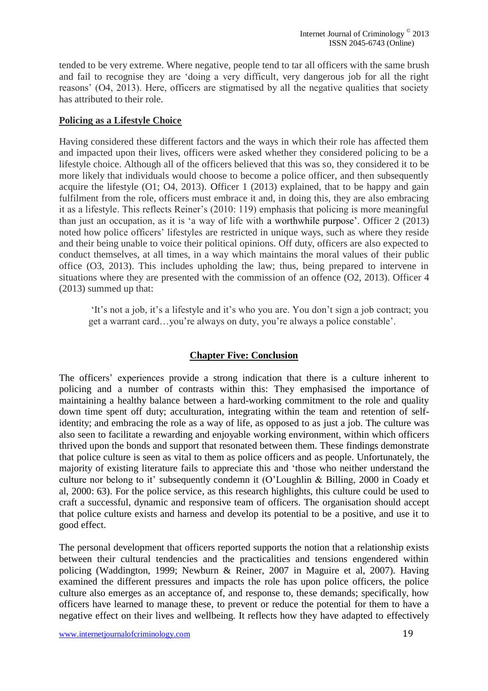tended to be very extreme. Where negative, people tend to tar all officers with the same brush and fail to recognise they are 'doing a very difficult, very dangerous job for all the right reasons' (O4, 2013). Here, officers are stigmatised by all the negative qualities that society has attributed to their role.

## **Policing as a Lifestyle Choice**

Having considered these different factors and the ways in which their role has affected them and impacted upon their lives, officers were asked whether they considered policing to be a lifestyle choice. Although all of the officers believed that this was so, they considered it to be more likely that individuals would choose to become a police officer, and then subsequently acquire the lifestyle (O1; O4, 2013). Officer 1 (2013) explained, that to be happy and gain fulfilment from the role, officers must embrace it and, in doing this, they are also embracing it as a lifestyle. This reflects Reiner's (2010: 119) emphasis that policing is more meaningful than just an occupation, as it is 'a way of life with a worthwhile purpose'. Officer 2 (2013) noted how police officers' lifestyles are restricted in unique ways, such as where they reside and their being unable to voice their political opinions. Off duty, officers are also expected to conduct themselves, at all times, in a way which maintains the moral values of their public office (O3, 2013). This includes upholding the law; thus, being prepared to intervene in situations where they are presented with the commission of an offence (O2, 2013). Officer 4 (2013) summed up that:

'It's not a job, it's a lifestyle and it's who you are. You don't sign a job contract; you get a warrant card…you're always on duty, you're always a police constable'.

# **Chapter Five: Conclusion**

The officers' experiences provide a strong indication that there is a culture inherent to policing and a number of contrasts within this: They emphasised the importance of maintaining a healthy balance between a hard-working commitment to the role and quality down time spent off duty; acculturation, integrating within the team and retention of selfidentity; and embracing the role as a way of life, as opposed to as just a job. The culture was also seen to facilitate a rewarding and enjoyable working environment, within which officers thrived upon the bonds and support that resonated between them. These findings demonstrate that police culture is seen as vital to them as police officers and as people. Unfortunately, the majority of existing literature fails to appreciate this and 'those who neither understand the culture nor belong to it' subsequently condemn it (O'Loughlin & Billing, 2000 in Coady et al, 2000: 63). For the police service, as this research highlights, this culture could be used to craft a successful, dynamic and responsive team of officers. The organisation should accept that police culture exists and harness and develop its potential to be a positive, and use it to good effect.

The personal development that officers reported supports the notion that a relationship exists between their cultural tendencies and the practicalities and tensions engendered within policing (Waddington, 1999; Newburn & Reiner, 2007 in Maguire et al, 2007). Having examined the different pressures and impacts the role has upon police officers, the police culture also emerges as an acceptance of, and response to, these demands; specifically, how officers have learned to manage these, to prevent or reduce the potential for them to have a negative effect on their lives and wellbeing. It reflects how they have adapted to effectively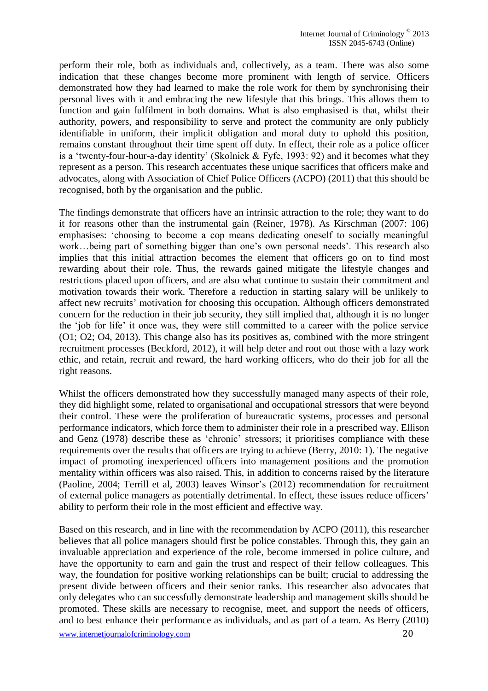perform their role, both as individuals and, collectively, as a team. There was also some indication that these changes become more prominent with length of service. Officers demonstrated how they had learned to make the role work for them by synchronising their personal lives with it and embracing the new lifestyle that this brings. This allows them to function and gain fulfilment in both domains. What is also emphasised is that, whilst their authority, powers, and responsibility to serve and protect the community are only publicly identifiable in uniform, their implicit obligation and moral duty to uphold this position, remains constant throughout their time spent off duty. In effect, their role as a police officer is a 'twenty-four-hour-a-day identity' (Skolnick & Fyfe, 1993: 92) and it becomes what they represent as a person. This research accentuates these unique sacrifices that officers make and advocates, along with Association of Chief Police Officers (ACPO) (2011) that this should be recognised, both by the organisation and the public.

The findings demonstrate that officers have an intrinsic attraction to the role; they want to do it for reasons other than the instrumental gain (Reiner, 1978). As Kirschman (2007: 106) emphasises: 'choosing to become a cop means dedicating oneself to socially meaningful work…being part of something bigger than one's own personal needs'. This research also implies that this initial attraction becomes the element that officers go on to find most rewarding about their role. Thus, the rewards gained mitigate the lifestyle changes and restrictions placed upon officers, and are also what continue to sustain their commitment and motivation towards their work. Therefore a reduction in starting salary will be unlikely to affect new recruits' motivation for choosing this occupation. Although officers demonstrated concern for the reduction in their job security, they still implied that, although it is no longer the 'job for life' it once was, they were still committed to a career with the police service (O1; O2; O4, 2013). This change also has its positives as, combined with the more stringent recruitment processes (Beckford, 2012), it will help deter and root out those with a lazy work ethic, and retain, recruit and reward, the hard working officers, who do their job for all the right reasons.

Whilst the officers demonstrated how they successfully managed many aspects of their role, they did highlight some, related to organisational and occupational stressors that were beyond their control. These were the proliferation of bureaucratic systems, processes and personal performance indicators, which force them to administer their role in a prescribed way. Ellison and Genz (1978) describe these as 'chronic' stressors; it prioritises compliance with these requirements over the results that officers are trying to achieve (Berry, 2010: 1). The negative impact of promoting inexperienced officers into management positions and the promotion mentality within officers was also raised. This, in addition to concerns raised by the literature (Paoline, 2004; Terrill et al, 2003) leaves Winsor's (2012) recommendation for recruitment of external police managers as potentially detrimental. In effect, these issues reduce officers' ability to perform their role in the most efficient and effective way.

Based on this research, and in line with the recommendation by ACPO (2011), this researcher believes that all police managers should first be police constables. Through this, they gain an invaluable appreciation and experience of the role, become immersed in police culture, and have the opportunity to earn and gain the trust and respect of their fellow colleagues. This way, the foundation for positive working relationships can be built; crucial to addressing the present divide between officers and their senior ranks. This researcher also advocates that only delegates who can successfully demonstrate leadership and management skills should be promoted. These skills are necessary to recognise, meet, and support the needs of officers, and to best enhance their performance as individuals, and as part of a team. As Berry (2010)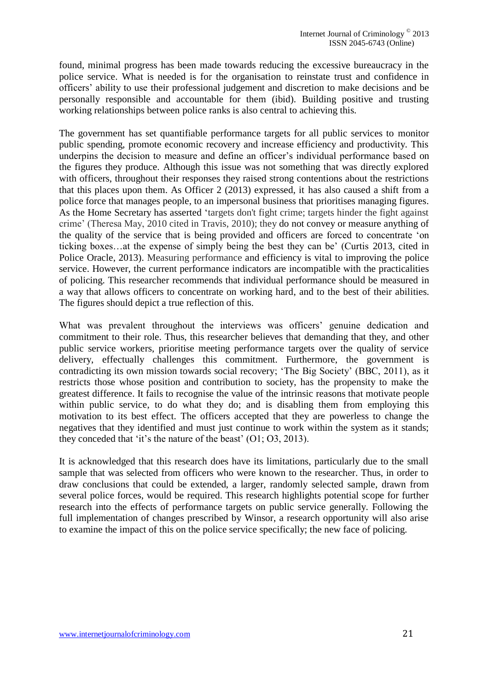found, minimal progress has been made towards reducing the excessive bureaucracy in the police service. What is needed is for the organisation to reinstate trust and confidence in officers' ability to use their professional judgement and discretion to make decisions and be personally responsible and accountable for them (ibid). Building positive and trusting working relationships between police ranks is also central to achieving this.

The government has set quantifiable performance targets for all public services to monitor public spending, promote economic recovery and increase efficiency and productivity. This underpins the decision to measure and define an officer's individual performance based on the figures they produce. Although this issue was not something that was directly explored with officers, throughout their responses they raised strong contentions about the restrictions that this places upon them. As Officer 2 (2013) expressed, it has also caused a shift from a police force that manages people, to an impersonal business that prioritises managing figures. As the Home Secretary has asserted 'targets don't fight crime; targets hinder the fight against crime' (Theresa May, 2010 cited in Travis, 2010); they do not convey or measure anything of the quality of the service that is being provided and officers are forced to concentrate 'on ticking boxes…at the expense of simply being the best they can be' (Curtis 2013, cited in Police Oracle, 2013). Measuring performance and efficiency is vital to improving the police service. However, the current performance indicators are incompatible with the practicalities of policing. This researcher recommends that individual performance should be measured in a way that allows officers to concentrate on working hard, and to the best of their abilities. The figures should depict a true reflection of this.

What was prevalent throughout the interviews was officers' genuine dedication and commitment to their role. Thus, this researcher believes that demanding that they, and other public service workers, prioritise meeting performance targets over the quality of service delivery, effectually challenges this commitment. Furthermore, the government is contradicting its own mission towards social recovery; 'The Big Society' (BBC, 2011), as it restricts those whose position and contribution to society, has the propensity to make the greatest difference. It fails to recognise the value of the intrinsic reasons that motivate people within public service, to do what they do; and is disabling them from employing this motivation to its best effect. The officers accepted that they are powerless to change the negatives that they identified and must just continue to work within the system as it stands; they conceded that 'it's the nature of the beast' (O1; O3, 2013).

It is acknowledged that this research does have its limitations, particularly due to the small sample that was selected from officers who were known to the researcher. Thus, in order to draw conclusions that could be extended, a larger, randomly selected sample, drawn from several police forces, would be required. This research highlights potential scope for further research into the effects of performance targets on public service generally. Following the full implementation of changes prescribed by Winsor, a research opportunity will also arise to examine the impact of this on the police service specifically; the new face of policing.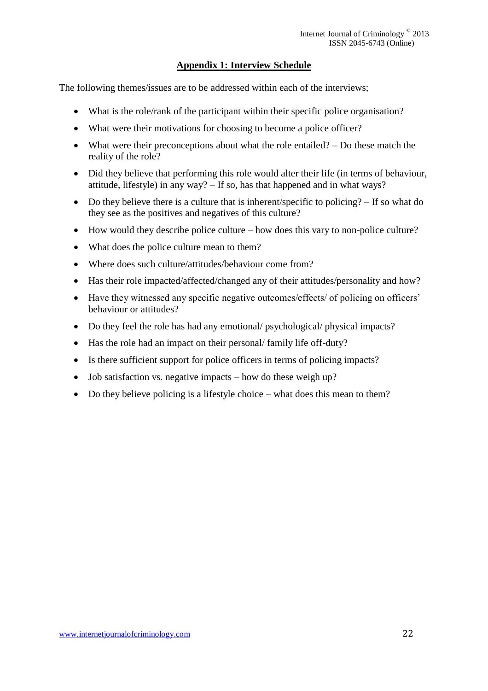# **Appendix 1: Interview Schedule**

The following themes/issues are to be addressed within each of the interviews;

- What is the role/rank of the participant within their specific police organisation?
- What were their motivations for choosing to become a police officer?
- What were their preconceptions about what the role entailed? Do these match the reality of the role?
- Did they believe that performing this role would alter their life (in terms of behaviour, attitude, lifestyle) in any way? – If so, has that happened and in what ways?
- Do they believe there is a culture that is inherent/specific to policing? If so what do they see as the positives and negatives of this culture?
- How would they describe police culture how does this vary to non-police culture?
- What does the police culture mean to them?
- Where does such culture/attitudes/behaviour come from?
- Has their role impacted/affected/changed any of their attitudes/personality and how?
- Have they witnessed any specific negative outcomes/effects/ of policing on officers' behaviour or attitudes?
- Do they feel the role has had any emotional/ psychological/ physical impacts?
- Has the role had an impact on their personal/ family life off-duty?
- Is there sufficient support for police officers in terms of policing impacts?
- Job satisfaction vs. negative impacts how do these weigh up?
- Do they believe policing is a lifestyle choice what does this mean to them?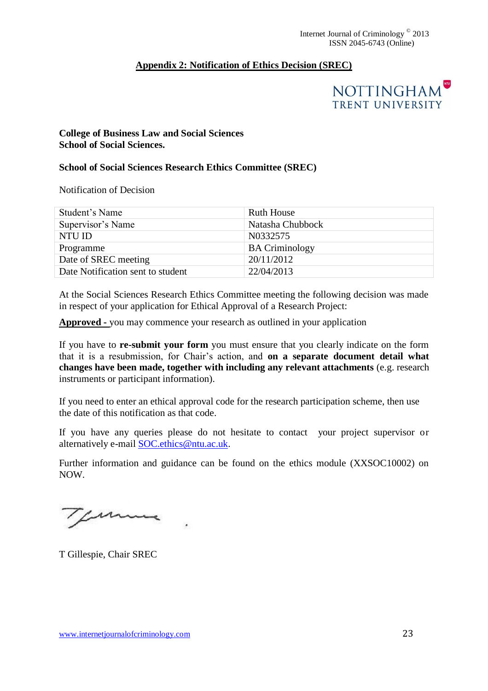# **Appendix 2: Notification of Ethics Decision (SREC)**



# **College of Business Law and Social Sciences School of Social Sciences.**

# **School of Social Sciences Research Ethics Committee (SREC)**

Notification of Decision

| Student's Name                    | Ruth House            |
|-----------------------------------|-----------------------|
| Supervisor's Name                 | Natasha Chubbock      |
| NTU ID                            | N0332575              |
| Programme                         | <b>BA Criminology</b> |
| Date of SREC meeting              | 20/11/2012            |
| Date Notification sent to student | 22/04/2013            |

At the Social Sciences Research Ethics Committee meeting the following decision was made in respect of your application for Ethical Approval of a Research Project:

**Approved -** you may commence your research as outlined in your application

If you have to **re-submit your form** you must ensure that you clearly indicate on the form that it is a resubmission, for Chair's action, and **on a separate document detail what changes have been made, together with including any relevant attachments** (e.g. research instruments or participant information).

If you need to enter an ethical approval code for the research participation scheme, then use the date of this notification as that code.

If you have any queries please do not hesitate to contact your project supervisor or alternatively e-mail [SOC.ethics@ntu.ac.uk.](mailto:SOC.ethics@ntu.ac.uk)

Further information and guidance can be found on the ethics module (XXSOC10002) on NOW.

comme

T Gillespie, Chair SREC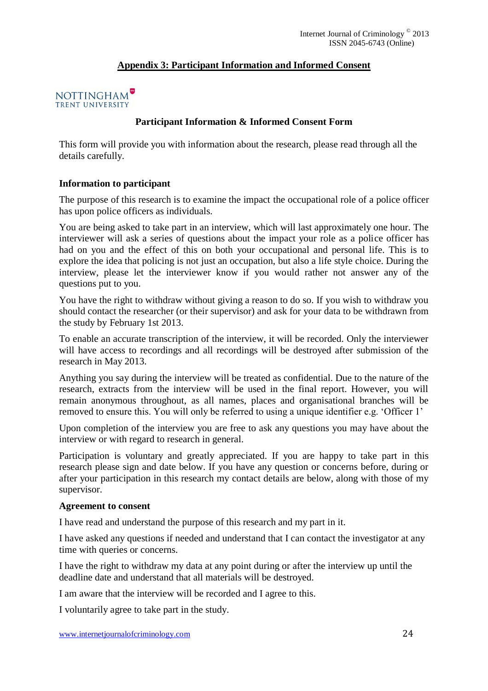# **Appendix 3: Participant Information and Informed Consent**

## NOTTINGHAM<sup>®</sup> TRENT UNIVERSITY

## **Participant Information & Informed Consent Form**

This form will provide you with information about the research, please read through all the details carefully.

## **Information to participant**

The purpose of this research is to examine the impact the occupational role of a police officer has upon police officers as individuals.

You are being asked to take part in an interview, which will last approximately one hour. The interviewer will ask a series of questions about the impact your role as a police officer has had on you and the effect of this on both your occupational and personal life. This is to explore the idea that policing is not just an occupation, but also a life style choice. During the interview, please let the interviewer know if you would rather not answer any of the questions put to you.

You have the right to withdraw without giving a reason to do so. If you wish to withdraw you should contact the researcher (or their supervisor) and ask for your data to be withdrawn from the study by February 1st 2013.

To enable an accurate transcription of the interview, it will be recorded. Only the interviewer will have access to recordings and all recordings will be destroyed after submission of the research in May 2013.

Anything you say during the interview will be treated as confidential. Due to the nature of the research, extracts from the interview will be used in the final report. However, you will remain anonymous throughout, as all names, places and organisational branches will be removed to ensure this. You will only be referred to using a unique identifier e.g. 'Officer 1'

Upon completion of the interview you are free to ask any questions you may have about the interview or with regard to research in general.

Participation is voluntary and greatly appreciated. If you are happy to take part in this research please sign and date below. If you have any question or concerns before, during or after your participation in this research my contact details are below, along with those of my supervisor.

#### **Agreement to consent**

I have read and understand the purpose of this research and my part in it.

I have asked any questions if needed and understand that I can contact the investigator at any time with queries or concerns.

I have the right to withdraw my data at any point during or after the interview up until the deadline date and understand that all materials will be destroyed.

I am aware that the interview will be recorded and I agree to this.

I voluntarily agree to take part in the study.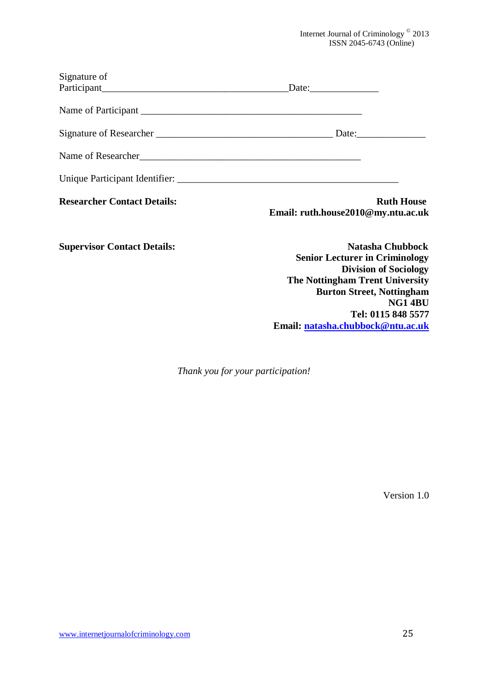Internet Journal of Criminology © 2013 ISSN 2045-6743 (Online)

| Signature of                       |                                                                                                  |
|------------------------------------|--------------------------------------------------------------------------------------------------|
|                                    |                                                                                                  |
|                                    |                                                                                                  |
|                                    |                                                                                                  |
|                                    |                                                                                                  |
|                                    |                                                                                                  |
| <b>Researcher Contact Details:</b> | <b>Ruth House</b><br>Email: ruth.house2010@my.ntu.ac.uk                                          |
| <b>Supervisor Contact Details:</b> | <b>Natasha Chubbock</b><br><b>Senior Lecturer in Criminology</b><br><b>Division of Sociology</b> |
|                                    | <b>The Nottingham Trent University</b>                                                           |
|                                    | <b>Burton Street, Nottingham</b>                                                                 |
|                                    | NG14BU                                                                                           |

*Thank you for your participation!*

Version 1.0

**Tel: 0115 848 5577**

**Email: [natasha.chubbock@ntu.ac.uk](mailto:natasha.chubbock@ntu.ac.uk)**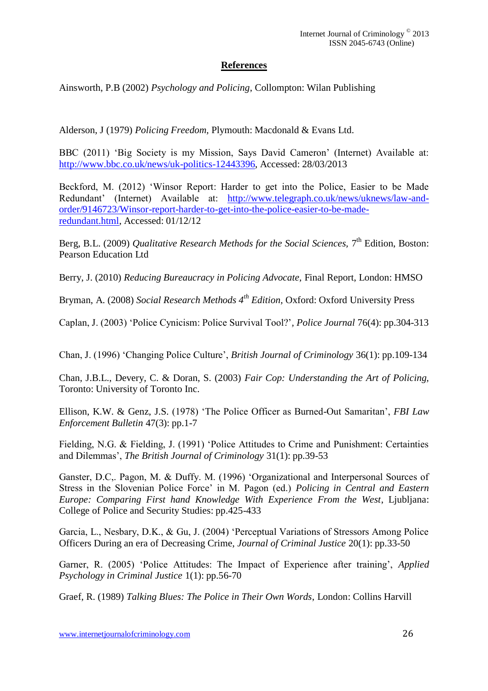# **References**

Ainsworth, P.B (2002) *Psychology and Policing*, Collompton: Wilan Publishing

Alderson, J (1979) *Policing Freedom,* Plymouth: Macdonald & Evans Ltd.

BBC (2011) 'Big Society is my Mission, Says David Cameron' (Internet) Available at: [http://www.bbc.co.uk/news/uk-politics-12443396,](http://www.bbc.co.uk/news/uk-politics-12443396) Accessed: 28/03/2013

Beckford, M. (2012) 'Winsor Report: Harder to get into the Police, Easier to be Made Redundant' (Internet) Available at: [http://www.telegraph.co.uk/news/uknews/law-and](http://www.telegraph.co.uk/news/uknews/law-and-order/9146723/Winsor-report-harder-to-get-into-the-police-easier-to-be-made-redundant.html)[order/9146723/Winsor-report-harder-to-get-into-the-police-easier-to-be-made](http://www.telegraph.co.uk/news/uknews/law-and-order/9146723/Winsor-report-harder-to-get-into-the-police-easier-to-be-made-redundant.html)[redundant.html,](http://www.telegraph.co.uk/news/uknews/law-and-order/9146723/Winsor-report-harder-to-get-into-the-police-easier-to-be-made-redundant.html) Accessed: 01/12/12

Berg, B.L. (2009) *Qualitative Research Methods for the Social Sciences*, 7<sup>th</sup> Edition, Boston: Pearson Education Ltd

Berry, J. (2010) *Reducing Bureaucracy in Policing Advocate,* Final Report, London: HMSO

Bryman, A. (2008) *Social Research Methods 4th Edition,* Oxford: Oxford University Press

Caplan, J. (2003) 'Police Cynicism: Police Survival Tool?'*, Police Journal* 76(4): pp.304-313

Chan, J. (1996) 'Changing Police Culture', *British Journal of Criminology* 36(1): pp.109-134

Chan, J.B.L., Devery, C. & Doran, S. (2003) *Fair Cop: Understanding the Art of Policing,*  Toronto: University of Toronto Inc.

Ellison, K.W. & Genz, J.S. (1978) 'The Police Officer as Burned-Out Samaritan', *FBI Law Enforcement Bulletin* 47(3): pp.1-7

Fielding, N.G. & Fielding, J. (1991) 'Police Attitudes to Crime and Punishment: Certainties and Dilemmas', *The British Journal of Criminology* 31(1): pp.39-53

Ganster, D.C,. Pagon, M. & Duffy. M. (1996) 'Organizational and Interpersonal Sources of Stress in the Slovenian Police Force' in M. Pagon (ed.) *Policing in Central and Eastern Europe: Comparing First hand Knowledge With Experience From the West*, Ljubljana: College of Police and Security Studies: pp.425-433

Garcia, L., Nesbary, D.K., & Gu, J. (2004) 'Perceptual Variations of Stressors Among Police Officers During an era of Decreasing Crime, *Journal of Criminal Justice* 20(1): pp.33-50

Garner, R. (2005) 'Police Attitudes: The Impact of Experience after training', *Applied Psychology in Criminal Justice* 1(1): pp.56-70

Graef, R. (1989) *Talking Blues: The Police in Their Own Words*, London: Collins Harvill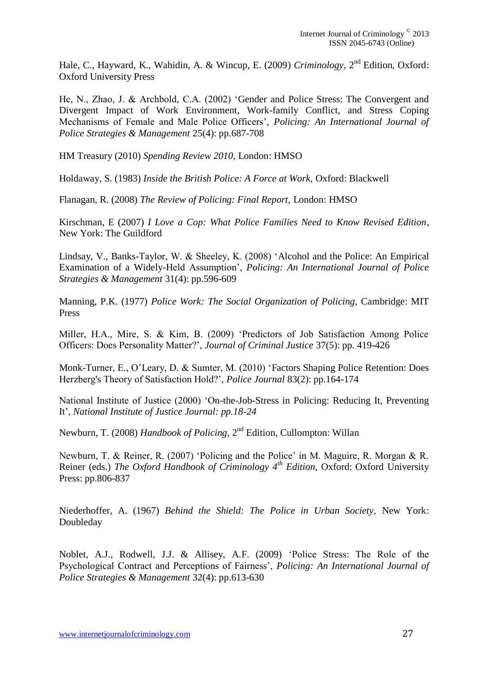Hale, C., Hayward, K., Wahidin, A. & Wincup, E. (2009) *Criminology*, 2<sup>nd</sup> Edition, Oxford: Oxford University Press

He, N., Zhao, J. & Archbold, C.A. (2002) 'Gender and Police Stress: The Convergent and Divergent Impact of Work Environment, Work-family Conflict, and Stress Coping Mechanisms of Female and Male Police Officers', *Policing: An International Journal of Police Strategies & Management* 25(4): pp.687-708

HM Treasury (2010) *Spending Review 2010,* London: HMSO

Holdaway, S. (1983) *Inside the British Police: A Force at Work,* Oxford: Blackwell

Flanagan, R. (2008) *The Review of Policing: Final Report,* London: HMSO

Kirschman, E (2007) *I Love a Cop: What Police Families Need to Know Revised Edition*, New York: The Guildford

Lindsay, V., Banks-Taylor, W. & Sheeley, K. (2008) 'Alcohol and the Police: An Empirical Examination of a Widely-Held Assumption', *Policing: An International Journal of Police Strategies & Management* 31(4): pp.596-609

Manning, P.K. (1977) *Police Work: The Social Organization of Policing,* Cambridge: MIT Press

Miller, H.A., Mire, S. & Kim, B. (2009) 'Predictors of Job Satisfaction Among Police Officers: Does Personality Matter?', *Journal of Criminal Justice* 37(5): pp. 419-426

Monk-Turner, E., O'Leary, D. & Sumter, M. (2010) 'Factors Shaping Police Retention: Does Herzberg's Theory of Satisfaction Hold?', *Police Journal* 83(2): pp.164-174

National Institute of Justice (2000) 'On-the-Job-Stress in Policing: Reducing It, Preventing It', *National Institute of Justice Journal: pp.18-24*

Newburn, T. (2008) *Handbook of Policing*, 2<sup>nd</sup> Edition, Cullompton: Willan

Newburn, T. & Reiner, R. (2007) 'Policing and the Police' in M. Maguire, R. Morgan & R. Reiner (eds.) *The Oxford Handbook of Criminology 4th Edition,* Oxford: Oxford University Press: pp.806-837

Niederhoffer, A. (1967) *Behind the Shield: The Police in Urban Society,* New York: Doubleday

Noblet, A.J., Rodwell, J.J. & Allisey, A.F. (2009) 'Police Stress: The Role of the Psychological Contract and Perceptions of Fairness', *Policing: An International Journal of Police Strategies & Management* 32(4): pp.613-630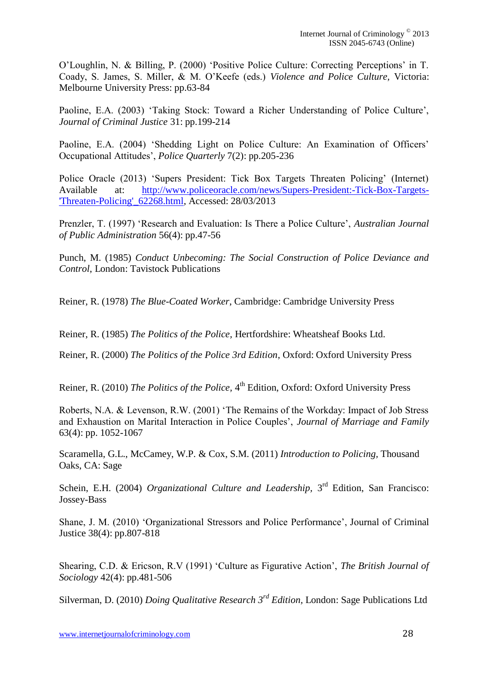O'Loughlin, N. & Billing, P. (2000) 'Positive Police Culture: Correcting Perceptions' in T. Coady, S. James, S. Miller, & M. O'Keefe (eds.) *Violence and Police Culture,* Victoria: Melbourne University Press: pp.63-84

Paoline, E.A. (2003) 'Taking Stock: Toward a Richer Understanding of Police Culture', *Journal of Criminal Justice* 31: pp.199-214

Paoline, E.A. (2004) 'Shedding Light on Police Culture: An Examination of Officers' Occupational Attitudes', *Police Quarterly* 7(2): pp.205-236

Police Oracle (2013) 'Supers President: Tick Box Targets Threaten Policing' (Internet) Available at: <http://www.policeoracle.com/news/Supers-President:-Tick-Box-Targets-> ['Threaten-Policing'\\_62268.html,](http://www.policeoracle.com/news/Supers-President:-Tick-Box-Targets-) Accessed: 28/03/2013

Prenzler, T. (1997) 'Research and Evaluation: Is There a Police Culture', *Australian Journal of Public Administration* 56(4): pp.47-56

Punch, M. (1985) *Conduct Unbecoming: The Social Construction of Police Deviance and Control*, London: Tavistock Publications

Reiner, R. (1978) *The Blue-Coated Worker*, Cambridge: Cambridge University Press

Reiner, R. (1985) *The Politics of the Police,* Hertfordshire: Wheatsheaf Books Ltd.

Reiner, R. (2000) *The Politics of the Police 3rd Edition*, Oxford: Oxford University Press

Reiner, R. (2010) *The Politics of the Police*, 4<sup>th</sup> Edition, Oxford: Oxford University Press

Roberts, N.A. & Levenson, R.W. (2001) 'The Remains of the Workday: Impact of Job Stress and Exhaustion on Marital Interaction in Police Couples', *Journal of Marriage and Family* 63(4): pp. 1052-1067

Scaramella, G.L., McCamey, W.P. & Cox, S.M. (2011) *Introduction to Policing,* Thousand Oaks, CA: Sage

Schein, E.H. (2004) *Organizational Culture and Leadership*, 3<sup>rd</sup> Edition, San Francisco: Jossey-Bass

Shane, J. M. (2010) 'Organizational Stressors and Police Performance', Journal of Criminal Justice 38(4): pp.807-818

Shearing, C.D. & Ericson, R.V (1991) 'Culture as Figurative Action', *The British Journal of Sociology* 42(4): pp.481-506

Silverman, D. (2010) *Doing Qualitative Research 3rd Edition,* London: Sage Publications Ltd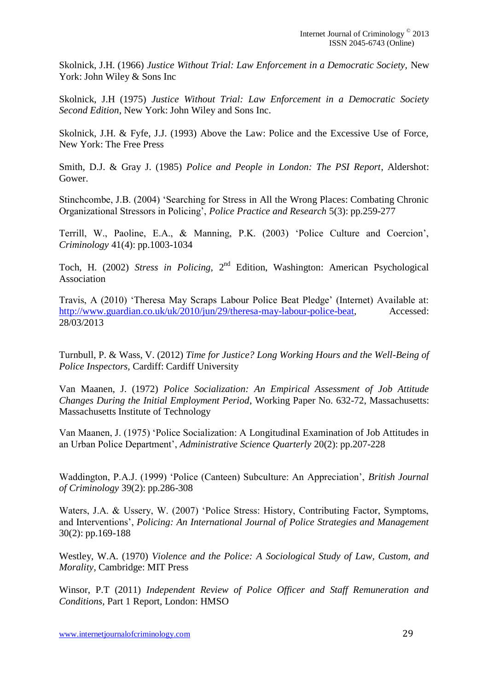Skolnick, J.H. (1966) *Justice Without Trial: Law Enforcement in a Democratic Society,* New York: John Wiley & Sons Inc

Skolnick, J.H (1975) *Justice Without Trial: Law Enforcement in a Democratic Society Second Edition*, New York: John Wiley and Sons Inc.

Skolnick, J.H. & Fyfe, J.J. (1993) Above the Law: Police and the Excessive Use of Force, New York: The Free Press

Smith, D.J. & Gray J. (1985) *Police and People in London: The PSI Report*, Aldershot: Gower.

Stinchcombe, J.B. (2004) 'Searching for Stress in All the Wrong Places: Combating Chronic Organizational Stressors in Policing', *Police Practice and Research* 5(3): pp.259-277

Terrill, W., Paoline, E.A., & Manning, P.K. (2003) 'Police Culture and Coercion', *Criminology* 41(4): pp.1003-1034

Toch, H. (2002) *Stress in Policing*, 2<sup>nd</sup> Edition, Washington: American Psychological Association

Travis, A (2010) 'Theresa May Scraps Labour Police Beat Pledge' (Internet) Available at: [http://www.guardian.co.uk/uk/2010/jun/29/theresa-may-labour-police-beat,](http://www.guardian.co.uk/uk/2010/jun/29/theresa-may-labour-police-beat) Accessed: 28/03/2013

Turnbull, P. & Wass, V. (2012) *Time for Justice? Long Working Hours and the Well-Being of Police Inspectors,* Cardiff: Cardiff University

Van Maanen, J. (1972) *Police Socialization: An Empirical Assessment of Job Attitude Changes During the Initial Employment Period*, Working Paper No. 632-72, Massachusetts: Massachusetts Institute of Technology

Van Maanen, J. (1975) 'Police Socialization: A Longitudinal Examination of Job Attitudes in an Urban Police Department', *Administrative Science Quarterly* 20(2): pp.207-228

Waddington, P.A.J. (1999) 'Police (Canteen) Subculture: An Appreciation', *British Journal of Criminology* 39(2): pp.286-308

Waters, J.A. & Ussery, W. (2007) 'Police Stress: History, Contributing Factor, Symptoms, and Interventions', *Policing: An International Journal of Police Strategies and Management* 30(2): pp.169-188

Westley, W.A. (1970) *Violence and the Police: A Sociological Study of Law, Custom, and Morality*, Cambridge: MIT Press

Winsor, P.T (2011) *Independent Review of Police Officer and Staff Remuneration and Conditions,* Part 1 Report, London: HMSO